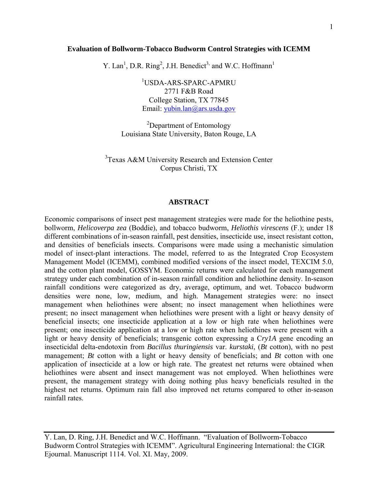#### **Evaluation of Bollworm-Tobacco Budworm Control Strategies with ICEMM**

Y. Lan<sup>1</sup>, D.R. Ring<sup>2</sup>, J.H. Benedict<sup>3,</sup> and W.C. Hoffmann<sup>1</sup>

1 USDA-ARS-SPARC-APMRU 2771 F&B Road College Station, TX 77845 Email: yubin.lan@ars.usda.gov

<sup>2</sup>Department of Entomology Louisiana State University, Baton Rouge, LA

 $3$ Texas A&M University Research and Extension Center Corpus Christi, TX

#### **ABSTRACT**

Economic comparisons of insect pest management strategies were made for the heliothine pests, bollworm, *Helicoverpa zea* (Boddie), and tobacco budworm, *Heliothis virescens* (F.); under 18 different combinations of in-season rainfall, pest densities, insecticide use, insect resistant cotton, and densities of beneficials insects. Comparisons were made using a mechanistic simulation model of insect-plant interactions. The model, referred to as the Integrated Crop Ecosystem Management Model (ICEMM), combined modified versions of the insect model, TEXCIM 5.0, and the cotton plant model, GOSSYM. Economic returns were calculated for each management strategy under each combination of in-season rainfall condition and heliothine density. In-season rainfall conditions were categorized as dry, average, optimum, and wet. Tobacco budworm densities were none, low, medium, and high. Management strategies were: no insect management when heliothines were absent; no insect management when heliothines were present; no insect management when heliothines were present with a light or heavy density of beneficial insects; one insecticide application at a low or high rate when heliothines were present; one insecticide application at a low or high rate when heliothines were present with a light or heavy density of beneficials; transgenic cotton expressing a C*ry1A* gene encoding an insecticidal delta-endotoxin from *Bacillus thuringiensis* var. *kurstaki*, (*Bt* cotton), with no pest management; *Bt* cotton with a light or heavy density of beneficials; and *Bt* cotton with one application of insecticide at a low or high rate. The greatest net returns were obtained when heliothines were absent and insect management was not employed. When heliothines were present, the management strategy with doing nothing plus heavy beneficials resulted in the highest net returns. Optimum rain fall also improved net returns compared to other in-season rainfall rates.

Y. Lan, D. Ring, J.H. Benedict and W.C. Hoffmann. "Evaluation of Bollworm-Tobacco Budworm Control Strategies with ICEMM". Agricultural Engineering International: the CIGR Ejournal. Manuscript 1114. Vol. XI. May, 2009.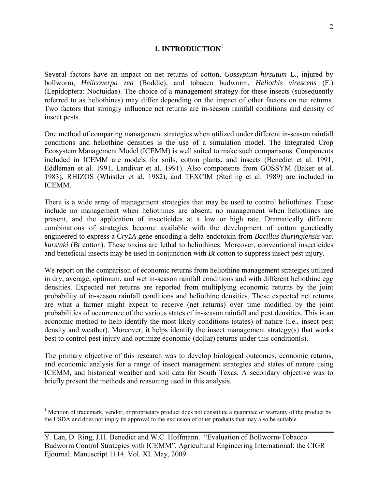# **1. INTRODUCTION**<sup>1</sup>

Several factors have an impact on net returns of cotton, *Gossypium hirsutum* L., injured by bollworm, *Helicoverpa zea* (Boddie), and tobacco budworm, *Heliothis virescens* (F.) (Lepidoptera: Noctuidae). The choice of a management strategy for these insects (subsequently referred to as heliothines) may differ depending on the impact of other factors on net returns. Two factors that strongly influence net returns are in-season rainfall conditions and density of insect pests.

One method of comparing management strategies when utilized under different in-season rainfall conditions and heliothine densities is the use of a simulation model. The Integrated Crop Ecosystem Management Model (ICEMM) is well suited to make such comparisons. Components included in ICEMM are models for soils, cotton plants, and insects (Benedict et al. 1991, Eddleman et al. 1991, Landivar et al. 1991). Also components from GOSSYM (Baker et al. 1983), RHIZOS (Whistler et al. 1982), and TEXCIM (Sterling et al. 1989) are included in ICEMM.

There is a wide array of management strategies that may be used to control heliothines. These include no management when heliothines are absent, no management when heliothines are present, and the application of insecticides at a low or high rate. Dramatically different combinations of strategies become available with the development of cotton genetically engineered to express a C*ry1A* gene encoding a delta-endotoxin from *Bacillus thuringiensis* var. *kurstaki* (*Bt* cotton). These toxins are lethal to heliothines. Moreover, conventional insecticides and beneficial insects may be used in conjunction with *Bt* cotton to suppress insect pest injury.

We report on the comparison of economic returns from heliothine management strategies utilized in dry, average, optimum, and wet in-season rainfall conditions and with different heliothine egg densities. Expected net returns are reported from multiplying economic returns by the joint probability of in-season rainfall conditions and heliothine densities. These expected net returns are what a farmer might expect to receive (net returns) over time modified by the joint probabilities of occurrence of the various states of in-season rainfall and pest densities. This is an economic method to help identify the most likely conditions (states) of nature (i.e., insect pest density and weather). Moreover, it helps identify the insect management strategy(s) that works best to control pest injury and optimize economic (dollar) returns under this condition(s).

The primary objective of this research was to develop biological outcomes, economic returns, and economic analysis for a range of insect management strategies and states of nature using ICEMM, and historical weather and soil data for South Texas. A secondary objective was to briefly present the methods and reasoning used in this analysis.

 $\overline{a}$ 

<sup>&</sup>lt;sup>1</sup> Mention of trademark, vendor, or proprietary product does not constitute a guarantee or warranty of the product by the USDA and does not imply its approval to the exclusion of other products that may also be suitable.

Y. Lan, D. Ring, J.H. Benedict and W.C. Hoffmann. "Evaluation of Bollworm-Tobacco Budworm Control Strategies with ICEMM". Agricultural Engineering International: the CIGR Ejournal. Manuscript 1114. Vol. XI. May, 2009.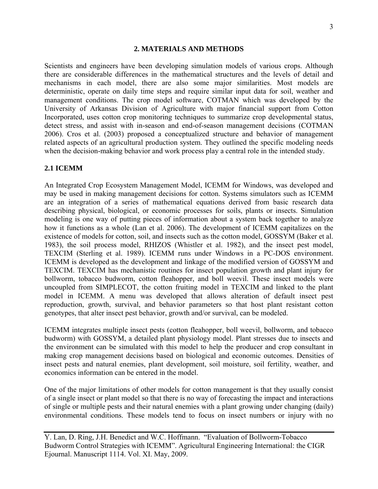## **2. MATERIALS AND METHODS**

Scientists and engineers have been developing simulation models of various crops. Although there are considerable differences in the mathematical structures and the levels of detail and mechanisms in each model, there are also some major similarities. Most models are deterministic, operate on daily time steps and require similar input data for soil, weather and management conditions. The crop model software, COTMAN which was developed by the University of Arkansas Division of Agriculture with major financial support from Cotton Incorporated, uses cotton crop monitoring techniques to summarize crop developmental status, detect stress, and assist with in-season and end-of-season management decisions (COTMAN 2006). Cros et al. (2003) proposed a conceptualized structure and behavior of management related aspects of an agricultural production system. They outlined the specific modeling needs when the decision-making behavior and work process play a central role in the intended study.

## **2.1 ICEMM**

An Integrated Crop Ecosystem Management Model, ICEMM for Windows, was developed and may be used in making management decisions for cotton. Systems simulators such as ICEMM are an integration of a series of mathematical equations derived from basic research data describing physical, biological, or economic processes for soils, plants or insects. Simulation modeling is one way of putting pieces of information about a system back together to analyze how it functions as a whole (Lan et al. 2006). The development of ICEMM capitalizes on the existence of models for cotton, soil, and insects such as the cotton model, GOSSYM (Baker et al. 1983), the soil process model, RHIZOS (Whistler et al. 1982), and the insect pest model, TEXCIM (Sterling et al. 1989). ICEMM runs under Windows in a PC-DOS environment. ICEMM is developed as the development and linkage of the modified version of GOSSYM and TEXCIM. TEXCIM has mechanistic routines for insect population growth and plant injury for bollworm, tobacco budworm, cotton fleahopper, and boll weevil. These insect models were uncoupled from SIMPLECOT, the cotton fruiting model in TEXCIM and linked to the plant model in ICEMM. A menu was developed that allows alteration of default insect pest reproduction, growth, survival, and behavior parameters so that host plant resistant cotton genotypes, that alter insect pest behavior, growth and/or survival, can be modeled.

ICEMM integrates multiple insect pests (cotton fleahopper, boll weevil, bollworm, and tobacco budworm) with GOSSYM, a detailed plant physiology model. Plant stresses due to insects and the environment can be simulated with this model to help the producer and crop consultant in making crop management decisions based on biological and economic outcomes. Densities of insect pests and natural enemies, plant development, soil moisture, soil fertility, weather, and economics information can be entered in the model.

One of the major limitations of other models for cotton management is that they usually consist of a single insect or plant model so that there is no way of forecasting the impact and interactions of single or multiple pests and their natural enemies with a plant growing under changing (daily) environmental conditions. These models tend to focus on insect numbers or injury with no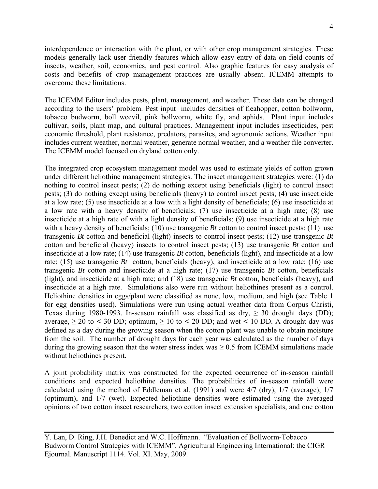interdependence or interaction with the plant, or with other crop management strategies. These models generally lack user friendly features which allow easy entry of data on field counts of insects, weather, soil, economics, and pest control. Also graphic features for easy analysis of costs and benefits of crop management practices are usually absent. ICEMM attempts to overcome these limitations.

The ICEMM Editor includes pests, plant, management, and weather. These data can be changed according to the users' problem. Pest input includes densities of fleahopper, cotton bollworm, tobacco budworm, boll weevil, pink bollworm, white fly, and aphids. Plant input includes cultivar, soils, plant map, and cultural practices. Management input includes insecticides, pest economic threshold, plant resistance, predators, parasites, and agronomic actions. Weather input includes current weather, normal weather, generate normal weather, and a weather file converter. The ICEMM model focused on dryland cotton only.

The integrated crop ecosystem management model was used to estimate yields of cotton grown under different heliothine management strategies. The insect management strategies were: (1) do nothing to control insect pests; (2) do nothing except using beneficials (light) to control insect pests; (3) do nothing except using beneficials (heavy) to control insect pests; (4) use insecticide at a low rate; (5) use insecticide at a low with a light density of beneficials; (6) use insecticide at a low rate with a heavy density of beneficials; (7) use insecticide at a high rate; (8) use insecticide at a high rate of with a light density of beneficials; (9) use insecticide at a high rate with a heavy density of beneficials; (10) use transgenic *Bt* cotton to control insect pests; (11) use transgenic *Bt* cotton and beneficial (light) insects to control insect pests; (12) use transgenic *Bt* cotton and beneficial (heavy) insects to control insect pests; (13) use transgenic *Bt* cotton and insecticide at a low rate; (14) use transgenic *Bt* cotton, beneficials (light), and insecticide at a low rate; (15) use transgenic *Bt* cotton, beneficials (heavy), and insecticide at a low rate; (16) use transgenic *Bt* cotton and insecticide at a high rate; (17) use transgenic *Bt* cotton, beneficials (light), and insecticide at a high rate; and (18) use transgenic *Bt* cotton, beneficials (heavy), and insecticide at a high rate. Simulations also were run without heliothines present as a control. Heliothine densities in eggs/plant were classified as none, low, medium, and high (see Table 1 for egg densities used). Simulations were run using actual weather data from Corpus Christi, Texas during 1980-1993. In-season rainfall was classified as dry,  $\geq$  30 drought days (DD); average,  $\geq 20$  to < 30 DD; optimum,  $\geq 10$  to < 20 DD; and wet < 10 DD. A drought day was defined as a day during the growing season when the cotton plant was unable to obtain moisture from the soil. The number of drought days for each year was calculated as the number of days during the growing season that the water stress index was  $\geq 0.5$  from ICEMM simulations made without heliothines present.

A joint probability matrix was constructed for the expected occurrence of in-season rainfall conditions and expected heliothine densities. The probabilities of in-season rainfall were calculated using the method of Eddleman et al. (1991) and were 4/7 (dry), 1/7 (average), 1/7 (optimum), and 1/7 (wet). Expected heliothine densities were estimated using the averaged opinions of two cotton insect researchers, two cotton insect extension specialists, and one cotton

Y. Lan, D. Ring, J.H. Benedict and W.C. Hoffmann. "Evaluation of Bollworm-Tobacco Budworm Control Strategies with ICEMM". Agricultural Engineering International: the CIGR Ejournal. Manuscript 1114. Vol. XI. May, 2009.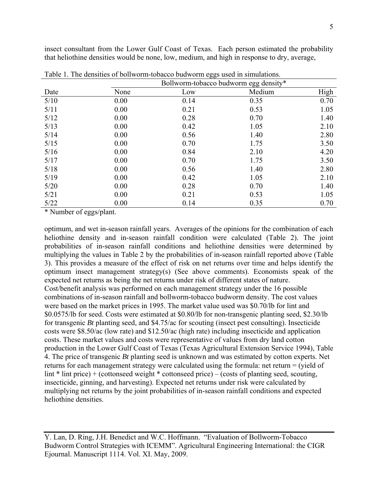insect consultant from the Lower Gulf Coast of Texas. Each person estimated the probability that heliothine densities would be none, low, medium, and high in response to dry, average,

|      |      | Bollworm-tobacco budworm egg density* |        |      |  |  |
|------|------|---------------------------------------|--------|------|--|--|
| Date | None | Low                                   | Medium | High |  |  |
| 5/10 | 0.00 | 0.14                                  | 0.35   | 0.70 |  |  |
| 5/11 | 0.00 | 0.21                                  | 0.53   | 1.05 |  |  |
| 5/12 | 0.00 | 0.28                                  | 0.70   | 1.40 |  |  |
| 5/13 | 0.00 | 0.42                                  | 1.05   | 2.10 |  |  |
| 5/14 | 0.00 | 0.56                                  | 1.40   | 2.80 |  |  |
| 5/15 | 0.00 | 0.70                                  | 1.75   | 3.50 |  |  |
| 5/16 | 0.00 | 0.84                                  | 2.10   | 4.20 |  |  |
| 5/17 | 0.00 | 0.70                                  | 1.75   | 3.50 |  |  |
| 5/18 | 0.00 | 0.56                                  | 1.40   | 2.80 |  |  |
| 5/19 | 0.00 | 0.42                                  | 1.05   | 2.10 |  |  |
| 5/20 | 0.00 | 0.28                                  | 0.70   | 1.40 |  |  |
| 5/21 | 0.00 | 0.21                                  | 0.53   | 1.05 |  |  |
| 5/22 | 0.00 | 0.14                                  | 0.35   | 0.70 |  |  |

Table 1. The densities of bollworm-tobacco budworm eggs used in simulations.

\* Number of eggs/plant.

optimum, and wet in-season rainfall years. Averages of the opinions for the combination of each heliothine density and in-season rainfall condition were calculated (Table 2). The joint probabilities of in-season rainfall conditions and heliothine densities were determined by multiplying the values in Table 2 by the probabilities of in-season rainfall reported above (Table 3). This provides a measure of the effect of risk on net returns over time and helps identify the optimum insect management strategy(s) (See above comments). Economists speak of the expected net returns as being the net returns under risk of different states of nature. Cost/benefit analysis was performed on each management strategy under the 16 possible combinations of in-season rainfall and bollworm-tobacco budworm density. The cost values were based on the market prices in 1995. The market value used was \$0.70/lb for lint and \$0.0575/lb for seed. Costs were estimated at \$0.80/lb for non-transgenic planting seed, \$2.30/lb for transgenic *Bt* planting seed, and \$4.75/ac for scouting (insect pest consulting). Insecticide costs were \$8.50/ac (low rate) and \$12.50/ac (high rate) including insecticide and application costs. These market values and costs were representative of values from dry land cotton production in the Lower Gulf Coast of Texas (Texas Agricultural Extension Service 1994), Table 4. The price of transgenic *Bt* planting seed is unknown and was estimated by cotton experts. Net returns for each management strategy were calculated using the formula: net return = (yield of lint \* lint price) + (cottonseed weight \* cottonseed price) – (costs of planting seed, scouting, insecticide, ginning, and harvesting). Expected net returns under risk were calculated by multiplying net returns by the joint probabilities of in-season rainfall conditions and expected heliothine densities.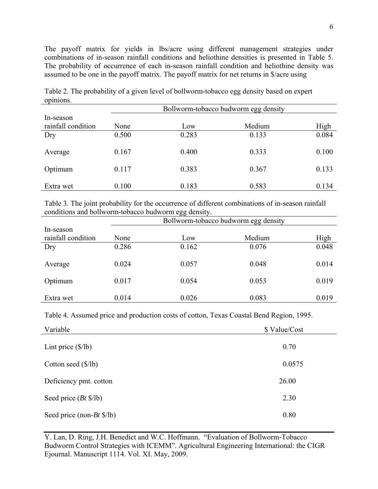The payoff matrix for yields in lbs/acre using different management strategies under combinations of in-season rainfall conditions and heliothine densities is presented in Table 5. The probability of occurrence of each in-season rainfall condition and heliothine density was assumed to be one in the payoff matrix. The payoff matrix for net returns in \$/acre using

|                                 | Bollworm-tobacco budworm egg density |       |        |       |  |  |
|---------------------------------|--------------------------------------|-------|--------|-------|--|--|
| In-season<br>rainfall condition | None                                 | Low   | Medium | High  |  |  |
| Dry                             | 0.500                                | 0.283 | 0.133  | 0.084 |  |  |
| Average                         | 0.167                                | 0.400 | 0.333  | 0.100 |  |  |
| Optimum                         | 0.117                                | 0.383 | 0.367  | 0.133 |  |  |
| Extra wet                       | 0.100                                | 0.183 | 0.583  | 0.134 |  |  |

Table 2. The probability of a given level of bollworm-tobacco egg density based on expert opinions.

Table 3. The joint probability for the occurrence of different combinations of in-season rainfall conditions and bollworm-tobacco budworm egg density.

|                                 |       | Bollworm-tobacco budworm egg density |        |       |  |  |  |
|---------------------------------|-------|--------------------------------------|--------|-------|--|--|--|
| In-season<br>rainfall condition | None  | Low                                  | Medium | High  |  |  |  |
| Dry                             | 0.286 | 0.162                                | 0.076  | 0.048 |  |  |  |
| Average                         | 0.024 | 0.057                                | 0.048  | 0.014 |  |  |  |
| Optimum                         | 0.017 | 0.054                                | 0.053  | 0.019 |  |  |  |
| Extra wet                       | 0.014 | 0.026                                | 0.083  | 0.019 |  |  |  |

Table 4. Assumed price and production costs of cotton, Texas Coastal Bend Region, 1995.

| Variable                                   | \$ Value/Cost |
|--------------------------------------------|---------------|
| Lint price $(\frac{8}{lb})$                | 0.70          |
| Cotton seed $(\frac{8}{lb})$               | 0.0575        |
| Deficiency pmt. cotton                     | 26.00         |
| Seed price $(Bt \frac{f}{g}$ /lb)          | 2.30          |
| Seed price (non- <i>Bt</i> $\frac{f}{d}$ ) | 0.80          |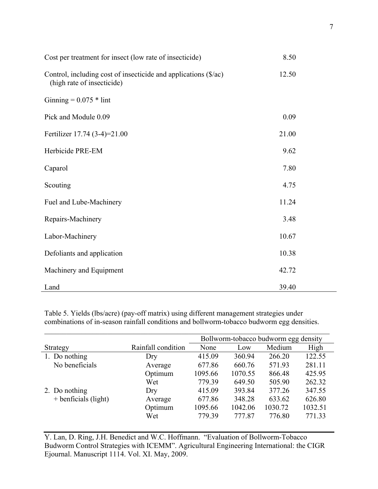| Cost per treatment for insect (low rate of insecticide)                                       | 8.50  |  |
|-----------------------------------------------------------------------------------------------|-------|--|
| Control, including cost of insecticide and applications (\$/ac)<br>(high rate of insecticide) | 12.50 |  |
| Ginning = $0.075 *$ lint                                                                      |       |  |
| Pick and Module 0.09                                                                          | 0.09  |  |
| Fertilizer 17.74 (3-4)=21.00                                                                  | 21.00 |  |
| Herbicide PRE-EM                                                                              | 9.62  |  |
| Caparol                                                                                       | 7.80  |  |
| Scouting                                                                                      | 4.75  |  |
| Fuel and Lube-Machinery                                                                       | 11.24 |  |
| Repairs-Machinery                                                                             | 3.48  |  |
| Labor-Machinery                                                                               | 10.67 |  |
| Defoliants and application                                                                    | 10.38 |  |
| Machinery and Equipment                                                                       | 42.72 |  |
| Land                                                                                          | 39.40 |  |

Table 5. Yields (lbs/acre) (pay-off matrix) using different management strategies under combinations of in-season rainfall conditions and bollworm-tobacco budworm egg densities.

|                        | Bollworm-tobacco budworm egg density |         |         |         |         |  |  |
|------------------------|--------------------------------------|---------|---------|---------|---------|--|--|
| Strategy               | Rainfall condition                   | None    | Low     | Medium  | High    |  |  |
| 1. Do nothing          | Dry                                  | 415.09  | 360.94  | 266.20  | 122.55  |  |  |
| No beneficials         | Average                              | 677.86  | 660.76  | 571.93  | 281.11  |  |  |
|                        | Optimum                              | 1095.66 | 1070.55 | 866.48  | 425.95  |  |  |
|                        | Wet                                  | 779.39  | 649.50  | 505.90  | 262.32  |  |  |
| 2. Do nothing          | Dry                                  | 415.09  | 393.84  | 377.26  | 347.55  |  |  |
| $+$ benficials (light) | Average                              | 677.86  | 348.28  | 633.62  | 626.80  |  |  |
|                        | Optimum                              | 1095.66 | 1042.06 | 1030.72 | 1032.51 |  |  |
|                        | Wet                                  | 779.39  | 777.87  | 776.80  | 771.33  |  |  |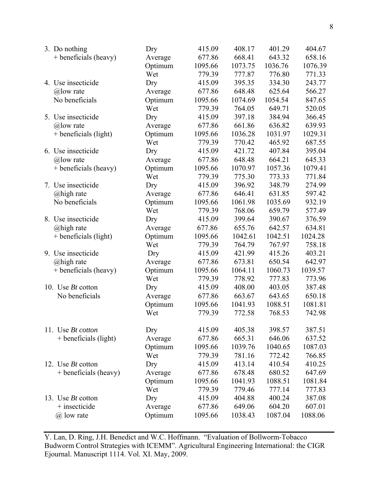| 3. Do nothing            | Dry     | 415.09  | 408.17  | 401.29  | 404.67  |
|--------------------------|---------|---------|---------|---------|---------|
| + beneficials (heavy)    | Average | 677.86  | 668.41  | 643.32  | 658.16  |
|                          | Optimum | 1095.66 | 1073.75 | 1036.76 | 1076.39 |
|                          | Wet     | 779.39  | 777.87  | 776.80  | 771.33  |
| 4. Use insecticide       | Dry     | 415.09  | 395.35  | 334.30  | 243.77  |
| $\omega$ low rate        | Average | 677.86  | 648.48  | 625.64  | 566.27  |
| No beneficials           | Optimum | 1095.66 | 1074.69 | 1054.54 | 847.65  |
|                          | Wet     | 779.39  | 764.05  | 649.71  | 520.05  |
| 5. Use insecticide       | Dry     | 415.09  | 397.18  | 384.94  | 366.45  |
| $\omega$ low rate        | Average | 677.86  | 661.86  | 636.82  | 639.93  |
| + beneficials (light)    | Optimum | 1095.66 | 1036.28 | 1031.97 | 1029.31 |
|                          | Wet     | 779.39  | 770.42  | 465.92  | 687.55  |
| 6. Use insecticide       | Dry     | 415.09  | 421.72  | 407.84  | 395.04  |
| $\omega$ low rate        | Average | 677.86  | 648.48  | 664.21  | 645.33  |
| + beneficials (heavy)    | Optimum | 1095.66 | 1070.97 | 1057.36 | 1079.41 |
|                          | Wet     | 779.39  | 775.30  | 773.33  | 771.84  |
| 7. Use insecticide       | Dry     | 415.09  | 396.92  | 348.79  | 274.99  |
| @high rate               | Average | 677.86  | 646.41  | 631.85  | 597.42  |
| No beneficials           | Optimum | 1095.66 | 1061.98 | 1035.69 | 932.19  |
|                          | Wet     | 779.39  | 768.06  | 659.79  | 577.49  |
| 8. Use insecticide       | Dry     | 415.09  | 399.64  | 390.67  | 376.59  |
| @high rate               | Average | 677.86  | 655.76  | 642.57  | 634.81  |
| + beneficials (light)    | Optimum | 1095.66 | 1042.61 | 1042.51 | 1024.28 |
|                          | Wet     | 779.39  | 764.79  | 767.97  | 758.18  |
| 9. Use insecticide       | Dry     | 415.09  | 421.99  | 415.26  | 403.21  |
| @high rate               | Average | 677.86  | 673.81  | 650.54  | 642.97  |
| + beneficials (heavy)    | Optimum | 1095.66 | 1064.11 | 1060.73 | 1039.57 |
|                          | Wet     | 779.39  | 778.92  | 777.83  | 773.96  |
| 10. Use <i>Bt</i> cotton | Dry     | 415.09  | 408.00  | 403.05  | 387.48  |
| No beneficials           | Average | 677.86  | 663.67  | 643.65  | 650.18  |
|                          | Optimum | 1095.66 | 1041.93 | 1088.51 | 1081.81 |
|                          | Wet     | 779.39  | 772.58  | 768.53  | 742.98  |
| 11. Use <i>Bt cotton</i> | Dry     | 415.09  | 405.38  | 398.57  | 387.51  |
| + beneficials (light)    | Average | 677.86  | 665.31  | 646.06  | 637.52  |
|                          | Optimum | 1095.66 | 1039.76 | 1040.65 | 1087.03 |
|                          | Wet     | 779.39  | 781.16  | 772.42  | 766.85  |
| 12. Use Bt cotton        | Dry     | 415.09  | 413.14  | 410.54  | 410.25  |
| + beneficials (heavy)    | Average | 677.86  | 678.48  | 680.52  | 647.69  |
|                          | Optimum | 1095.66 | 1041.93 | 1088.51 | 1081.84 |
|                          | Wet     | 779.39  | 779.46  | 777.14  | 777.83  |
| 13. Use <i>Bt</i> cotton | Dry     | 415.09  | 404.88  | 400.24  | 387.08  |
| $+$ insecticide          | Average | 677.86  | 649.06  | 604.20  | 607.01  |
| @ low rate               | Optimum | 1095.66 | 1038.43 | 1087.04 | 1088.06 |
|                          |         |         |         |         |         |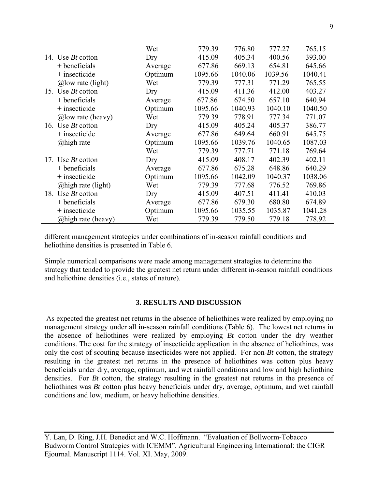|                          | Wet     | 779.39  | 776.80  | 777.27  | 765.15  |
|--------------------------|---------|---------|---------|---------|---------|
| 14. Use <i>Bt</i> cotton | Dry     | 415.09  | 405.34  | 400.56  | 393.00  |
| $+$ beneficials          | Average | 677.86  | 669.13  | 654.81  | 645.66  |
| $+$ insecticide          | Optimum | 1095.66 | 1040.06 | 1039.56 | 1040.41 |
| $(a)$ low rate (light)   | Wet     | 779.39  | 777.31  | 771.29  | 765.55  |
| 15. Use <i>Bt</i> cotton | Dry     | 415.09  | 411.36  | 412.00  | 403.27  |
| + beneficials            | Average | 677.86  | 674.50  | 657.10  | 640.94  |
| $+$ insecticide          | Optimum | 1095.66 | 1040.93 | 1040.10 | 1040.50 |
| @low rate (heavy)        | Wet     | 779.39  | 778.91  | 777.34  | 771.07  |
| 16. Use <i>Bt</i> cotton | Dry     | 415.09  | 405.24  | 405.37  | 386.77  |
| $+$ insecticide          | Average | 677.86  | 649.64  | 660.91  | 645.75  |
| @high rate               | Optimum | 1095.66 | 1039.76 | 1040.65 | 1087.03 |
|                          | Wet     | 779.39  | 777.71  | 771.18  | 769.64  |
| 17. Use <i>Bt</i> cotton | Dry     | 415.09  | 408.17  | 402.39  | 402.11  |
| $+$ beneficials          | Average | 677.86  | 675.28  | 648.86  | 640.29  |
| $+$ insecticide          | Optimum | 1095.66 | 1042.09 | 1040.37 | 1038.06 |
| @high rate (light)       | Wet     | 779.39  | 777.68  | 776.52  | 769.86  |
| 18. Use Bt cotton        | Dry     | 415.09  | 407.51  | 411.41  | 410.03  |
| $+$ beneficials          | Average | 677.86  | 679.30  | 680.80  | 674.89  |
| $+$ insecticide          | Optimum | 1095.66 | 1035.55 | 1035.87 | 1041.28 |
| @high rate (heavy)       | Wet     | 779.39  | 779.50  | 779.18  | 778.92  |

different management strategies under combinations of in-season rainfall conditions and heliothine densities is presented in Table 6.

Simple numerical comparisons were made among management strategies to determine the strategy that tended to provide the greatest net return under different in-season rainfall conditions and heliothine densities (i.e., states of nature).

## **3. RESULTS AND DISCUSSION**

 As expected the greatest net returns in the absence of heliothines were realized by employing no management strategy under all in-season rainfall conditions (Table 6). The lowest net returns in the absence of heliothines were realized by employing *Bt* cotton under the dry weather conditions. The cost for the strategy of insecticide application in the absence of heliothines, was only the cost of scouting because insecticides were not applied. For non-*Bt* cotton, the strategy resulting in the greatest net returns in the presence of heliothines was cotton plus heavy beneficials under dry, average, optimum, and wet rainfall conditions and low and high heliothine densities. For *Bt* cotton, the strategy resulting in the greatest net returns in the presence of heliothines was *Bt* cotton plus heavy beneficials under dry, average, optimum, and wet rainfall conditions and low, medium, or heavy heliothine densities.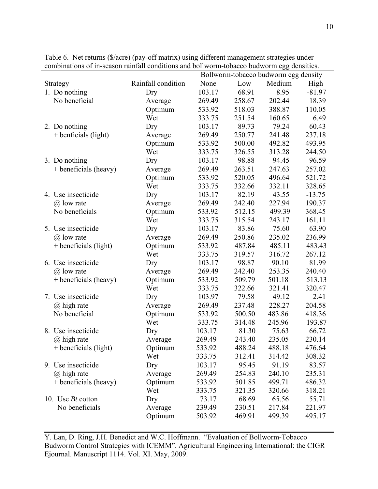| comomations of in-season fannan conditions and conworm-toodeco oddworm egg densities. |                    |        |        |        |          |
|---------------------------------------------------------------------------------------|--------------------|--------|--------|--------|----------|
| Bollworm-tobacco budworm egg density                                                  |                    |        |        |        |          |
| Strategy                                                                              | Rainfall condition | None   | Low    | Medium | High     |
| 1. Do nothing                                                                         | Dry                | 103.17 | 68.91  | 8.95   | $-81.97$ |
| No beneficial                                                                         | Average            | 269.49 | 258.67 | 202.44 | 18.39    |
|                                                                                       | Optimum            | 533.92 | 518.03 | 388.87 | 110.05   |
|                                                                                       | Wet                | 333.75 | 251.54 | 160.65 | 6.49     |
| 2. Do nothing                                                                         | Dry                | 103.17 | 89.73  | 79.24  | 60.43    |
| + benficials (light)                                                                  | Average            | 269.49 | 250.77 | 241.48 | 237.18   |
|                                                                                       | Optimum            | 533.92 | 500.00 | 492.82 | 493.95   |
|                                                                                       | Wet                | 333.75 | 326.55 | 313.28 | 244.50   |
| 3. Do nothing                                                                         | Dry                | 103.17 | 98.88  | 94.45  | 96.59    |
| + beneficials (heavy)                                                                 | Average            | 269.49 | 263.51 | 247.63 | 257.02   |
|                                                                                       | Optimum            | 533.92 | 520.05 | 496.64 | 521.72   |
|                                                                                       | Wet                | 333.75 | 332.66 | 332.11 | 328.65   |
| 4. Use insecticide                                                                    | Dry                | 103.17 | 82.19  | 43.55  | $-13.75$ |
| $(a)$ low rate                                                                        | Average            | 269.49 | 242.40 | 227.94 | 190.37   |
| No beneficials                                                                        | Optimum            | 533.92 | 512.15 | 499.39 | 368.45   |
|                                                                                       | Wet                | 333.75 | 315.54 | 243.17 | 161.11   |
| 5. Use insecticide                                                                    | Dry                | 103.17 | 83.86  | 75.60  | 63.90    |
| $\omega$ low rate                                                                     | Average            | 269.49 | 250.86 | 235.02 | 236.99   |
| + beneficials (light)                                                                 | Optimum            | 533.92 | 487.84 | 485.11 | 483.43   |
|                                                                                       | Wet                | 333.75 | 319.57 | 316.72 | 267.12   |
| 6. Use insecticide                                                                    | Dry                | 103.17 | 98.87  | 90.10  | 81.99    |
| $\omega$ low rate                                                                     | Average            | 269.49 | 242.40 | 253.35 | 240.40   |
| + beneficials (heavy)                                                                 | Optimum            | 533.92 | 509.79 | 501.18 | 513.13   |
|                                                                                       | Wet                | 333.75 | 322.66 | 321.41 | 320.47   |
| 7. Use insecticide                                                                    | Dry                | 103.97 | 79.58  | 49.12  | 2.41     |
| @ high rate                                                                           | Average            | 269.49 | 237.48 | 228.27 | 204.58   |
| No beneficial                                                                         | Optimum            | 533.92 | 500.50 | 483.86 | 418.36   |
|                                                                                       | Wet                | 333.75 | 314.48 | 245.96 | 193.87   |
| 8. Use insecticide                                                                    | Dry                | 103.17 | 81.30  | 75.63  | 66.72    |
| @ high rate                                                                           | Average            | 269.49 | 243.40 | 235.05 | 230.14   |
| + beneficials (light)                                                                 | Optimum            | 533.92 | 488.24 | 488.18 | 476.64   |
|                                                                                       | Wet                | 333.75 | 312.41 | 314.42 | 308.32   |
| 9. Use insecticide                                                                    | Dry                | 103.17 | 95.45  | 91.19  | 83.57    |
| @ high rate                                                                           | Average            | 269.49 | 254.83 | 240.10 | 235.31   |
| + beneficials (heavy)                                                                 | Optimum            | 533.92 | 501.85 | 499.71 | 486.32   |
|                                                                                       | Wet                | 333.75 | 321.35 | 320.66 | 318.21   |
| 10. Use <i>Bt</i> cotton                                                              | Dry                | 73.17  | 68.69  | 65.56  | 55.71    |
| No beneficials                                                                        | Average            | 239.49 | 230.51 | 217.84 | 221.97   |
|                                                                                       | Optimum            | 503.92 | 469.91 | 499.39 | 495.17   |

Table 6. Net returns (\$/acre) (pay-off matrix) using different management strategies under combinations of in-season rainfall conditions and bollworm-tobacco budworm egg densities.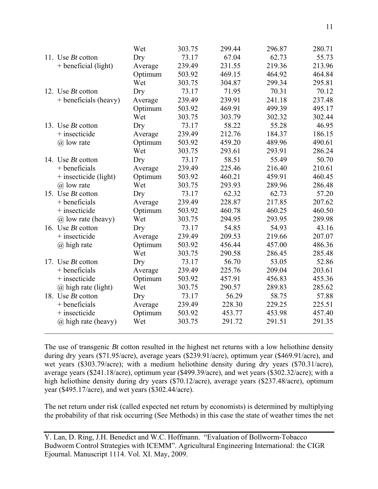|                          | Wet     | 303.75 | 299.44 | 296.87 | 280.71 |
|--------------------------|---------|--------|--------|--------|--------|
| 11. Use <i>Bt</i> cotton | Dry     | 73.17  | 67.04  | 62.73  | 55.73  |
| + beneficial (light)     | Average | 239.49 | 231.55 | 219.36 | 213.96 |
|                          | Optimum | 503.92 | 469.15 | 464.92 | 464.84 |
|                          | Wet     | 303.75 | 304.87 | 299.34 | 295.81 |
| 12. Use <i>Bt</i> cotton | Dry     | 73.17  | 71.95  | 70.31  | 70.12  |
| + beneficials (heavy)    | Average | 239.49 | 239.91 | 241.18 | 237.48 |
|                          | Optimum | 503.92 | 469.91 | 499.39 | 495.17 |
|                          | Wet     | 303.75 | 303.79 | 302.32 | 302.44 |
| 13. Use <i>Bt</i> cotton | Dry     | 73.17  | 58.22  | 55.28  | 46.95  |
| + insecticide            | Average | 239.49 | 212.76 | 184.37 | 186.15 |
| $(a)$ low rate           | Optimum | 503.92 | 459.20 | 489.96 | 490.61 |
|                          | Wet     | 303.75 | 293.61 | 293.91 | 286.24 |
| 14. Use Bt cotton        | Dry     | 73.17  | 58.51  | 55.49  | 50.70  |
| + beneficials            | Average | 239.49 | 225.46 | 216.40 | 210.61 |
| + insecticide (light)    | Optimum | 503.92 | 460.21 | 459.91 | 460.45 |
| $(a)$ low rate           | Wet     | 303.75 | 293.93 | 289.96 | 286.48 |
| 15. Use <i>Bt</i> cotton | Dry     | 73.17  | 62.32  | 62.73  | 57.20  |
| $+$ beneficials          | Average | 239.49 | 228.87 | 217.85 | 207.62 |
| + insecticide            | Optimum | 503.92 | 460.78 | 460.25 | 460.50 |
| @ low rate (heavy)       | Wet     | 303.75 | 294.95 | 293.95 | 289.98 |
| 16. Use <i>Bt</i> cotton | Dry     | 73.17  | 54.85  | 54.93  | 43.16  |
| $+$ insecticide          | Average | 239.49 | 209.53 | 219.66 | 207.07 |
| @ high rate              | Optimum | 503.92 | 456.44 | 457.00 | 486.36 |
|                          | Wet     | 303.75 | 290.58 | 286.45 | 285.48 |
| 17. Use Bt cotton        | Dry     | 73.17  | 56.70  | 53.05  | 52.86  |
| $+$ beneficials          | Average | 239.49 | 225.76 | 209.04 | 203.61 |
| + insecticide            | Optimum | 503.92 | 457.91 | 456.83 | 455.36 |
| $(a)$ high rate (light)  | Wet     | 303.75 | 290.57 | 289.83 | 285.62 |
| 18. Use <i>Bt</i> cotton | Dry     | 73.17  | 56.29  | 58.75  | 57.88  |
| + beneficials            | Average | 239.49 | 228.30 | 229.25 | 225.51 |
| + insecticide            | Optimum | 503.92 | 453.77 | 453.98 | 457.40 |
| @ high rate (heavy)      | Wet     | 303.75 | 291.72 | 291.51 | 291.35 |
|                          |         |        |        |        |        |

The use of transgenic *Bt* cotton resulted in the highest net returns with a low heliothine density during dry years (\$71.95/acre), average years (\$239.91/acre), optimum year (\$469.91/acre), and wet years (\$303.79/acre); with a medium heliothine density during dry years (\$70.31/acre), average years (\$241.18/acre), optimum year (\$499.39/acre), and wet years (\$302.32/acre); with a high heliothine density during dry years (\$70.12/acre), average years (\$237.48/acre), optimum year (\$495.17/acre), and wet years (\$302.44/acre).

The net return under risk (called expected net return by economists) is determined by multiplying the probability of that risk occurring (See Methods) in this case the state of weather times the net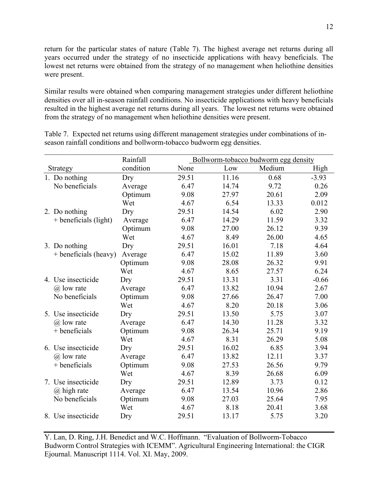return for the particular states of nature (Table 7). The highest average net returns during all years occurred under the strategy of no insecticide applications with heavy beneficials. The lowest net returns were obtained from the strategy of no management when heliothine densities were present.

Similar results were obtained when comparing management strategies under different heliothine densities over all in-season rainfall conditions. No insecticide applications with heavy beneficials resulted in the highest average net returns during all years. The lowest net returns were obtained from the strategy of no management when heliothine densities were present.

|                       | Rainfall  |       |       | Bollworm-tobacco budworm egg density |         |
|-----------------------|-----------|-------|-------|--------------------------------------|---------|
| Strategy              | condition | None  | Low   | Medium                               | High    |
| 1. Do nothing         | Dry       | 29.51 | 11.16 | 0.68                                 | $-3.93$ |
| No beneficials        | Average   | 6.47  | 14.74 | 9.72                                 | 0.26    |
|                       | Optimum   | 9.08  | 27.97 | 20.61                                | 2.09    |
|                       | Wet       | 4.67  | 6.54  | 13.33                                | 0.012   |
| 2. Do nothing         | Dry       | 29.51 | 14.54 | 6.02                                 | 2.90    |
| + beneficials (light) | Average   | 6.47  | 14.29 | 11.59                                | 3.32    |
|                       | Optimum   | 9.08  | 27.00 | 26.12                                | 9.39    |
|                       | Wet       | 4.67  | 8.49  | 26.00                                | 4.65    |
| 3. Do nothing         | Dry       | 29.51 | 16.01 | 7.18                                 | 4.64    |
| + beneficials (heavy) | Average   | 6.47  | 15.02 | 11.89                                | 3.60    |
|                       | Optimum   | 9.08  | 28.08 | 26.32                                | 9.91    |
|                       | Wet       | 4.67  | 8.65  | 27.57                                | 6.24    |
| 4. Use insecticide    | Dry       | 29.51 | 13.31 | 3.31                                 | $-0.66$ |
| $(a)$ low rate        | Average   | 6.47  | 13.82 | 10.94                                | 2.67    |
| No beneficials        | Optimum   | 9.08  | 27.66 | 26.47                                | 7.00    |
|                       | Wet       | 4.67  | 8.20  | 20.18                                | 3.06    |
| 5. Use insecticide    | Dry       | 29.51 | 13.50 | 5.75                                 | 3.07    |
| @ low rate            | Average   | 6.47  | 14.30 | 11.28                                | 3.32    |
| + beneficials         | Optimum   | 9.08  | 26.34 | 25.71                                | 9.19    |
|                       | Wet       | 4.67  | 8.31  | 26.29                                | 5.08    |
| 6. Use insecticide    | Dry       | 29.51 | 16.02 | 6.85                                 | 3.94    |
| $(a)$ low rate        | Average   | 6.47  | 13.82 | 12.11                                | 3.37    |
| $+$ beneficials       | Optimum   | 9.08  | 27.53 | 26.56                                | 9.79    |
|                       | Wet       | 4.67  | 8.39  | 26.68                                | 6.09    |
| 7. Use insecticide    | Dry       | 29.51 | 12.89 | 3.73                                 | 0.12    |
| @ high rate           | Average   | 6.47  | 13.54 | 10.96                                | 2.86    |
| No beneficials        | Optimum   | 9.08  | 27.03 | 25.64                                | 7.95    |
|                       | Wet       | 4.67  | 8.18  | 20.41                                | 3.68    |
| 8. Use insecticide    | Dry       | 29.51 | 13.17 | 5.75                                 | 3.20    |

Table 7. Expected net returns using different management strategies under combinations of inseason rainfall conditions and bollworm-tobacco budworm egg densities.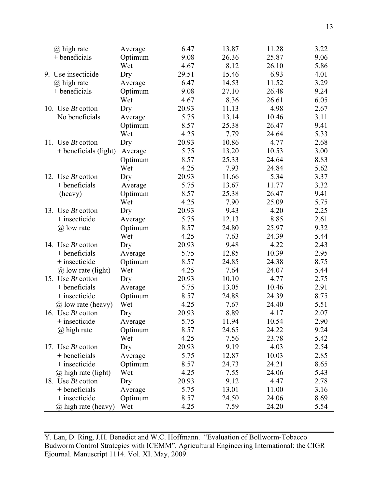| @ high rate              | Average | 6.47  | 13.87 | 11.28 | 3.22 |
|--------------------------|---------|-------|-------|-------|------|
| + beneficials            | Optimum | 9.08  | 26.36 | 25.87 | 9.06 |
|                          | Wet     | 4.67  | 8.12  | 26.10 | 5.86 |
| 9. Use insecticide       | Dry     | 29.51 | 15.46 | 6.93  | 4.01 |
| @ high rate              | Average | 6.47  | 14.53 | 11.52 | 3.29 |
| + beneficials            | Optimum | 9.08  | 27.10 | 26.48 | 9.24 |
|                          | Wet     | 4.67  | 8.36  | 26.61 | 6.05 |
| 10. Use <i>Bt</i> cotton | Dry     | 20.93 | 11.13 | 4.98  | 2.67 |
| No beneficials           | Average | 5.75  | 13.14 | 10.46 | 3.11 |
|                          | Optimum | 8.57  | 25.38 | 26.47 | 9.41 |
|                          | Wet     | 4.25  | 7.79  | 24.64 | 5.33 |
| 11. Use <i>Bt</i> cotton | Dry     | 20.93 | 10.86 | 4.77  | 2.68 |
| + beneficials (light)    | Average | 5.75  | 13.20 | 10.53 | 3.00 |
|                          | Optimum | 8.57  | 25.33 | 24.64 | 8.83 |
|                          | Wet     | 4.25  | 7.93  | 24.84 | 5.62 |
| 12. Use <i>Bt</i> cotton | Dry     | 20.93 | 11.66 | 5.34  | 3.37 |
| $+$ beneficials          | Average | 5.75  | 13.67 | 11.77 | 3.32 |
| (heavy)                  | Optimum | 8.57  | 25.38 | 26.47 | 9.41 |
|                          | Wet     | 4.25  | 7.90  | 25.09 | 5.75 |
| 13. Use <i>Bt</i> cotton | Dry     | 20.93 | 9.43  | 4.20  | 2.25 |
| + insecticide            | Average | 5.75  | 12.13 | 8.85  | 2.61 |
| @ low rate               | Optimum | 8.57  | 24.80 | 25.97 | 9.32 |
|                          | Wet     | 4.25  | 7.63  | 24.39 | 5.44 |
| 14. Use <i>Bt</i> cotton | Dry     | 20.93 | 9.48  | 4.22  | 2.43 |
| $+$ beneficials          | Average | 5.75  | 12.85 | 10.39 | 2.95 |
| + insecticide            | Optimum | 8.57  | 24.85 | 24.38 | 8.75 |
| @ low rate (light)       | Wet     | 4.25  | 7.64  | 24.07 | 5.44 |
| 15. Use <i>Bt</i> cotton | Dry     | 20.93 | 10.10 | 4.77  | 2.75 |
| + beneficials            | Average | 5.75  | 13.05 | 10.46 | 2.91 |
| + insecticide            | Optimum | 8.57  | 24.88 | 24.39 | 8.75 |
| @ low rate (heavy)       | Wet     | 4.25  | 7.67  | 24.40 | 5.51 |
| 16. Use <i>Bt</i> cotton | Dry     | 20.93 | 8.89  | 4.17  | 2.07 |
| + insecticide            | Average | 5.75  | 11.94 | 10.54 | 2.90 |
| @ high rate              | Optimum | 8.57  | 24.65 | 24.22 | 9.24 |
|                          | Wet     | 4.25  | 7.56  | 23.78 | 5.42 |
| 17. Use <i>Bt</i> cotton | Dry     | 20.93 | 9.19  | 4.03  | 2.54 |
| + beneficials            | Average | 5.75  | 12.87 | 10.03 | 2.85 |
| + insecticide            | Optimum | 8.57  | 24.73 | 24.21 | 8.65 |
| $(a)$ high rate (light)  | Wet     | 4.25  | 7.55  | 24.06 | 5.43 |
| 18. Use <i>Bt</i> cotton | Dry     | 20.93 | 9.12  | 4.47  | 2.78 |
| + beneficials            | Average | 5.75  | 13.01 | 11.00 | 3.16 |
| + insecticide            | Optimum | 8.57  | 24.50 | 24.06 | 8.69 |
| @ high rate (heavy)      | Wet     | 4.25  | 7.59  | 24.20 | 5.54 |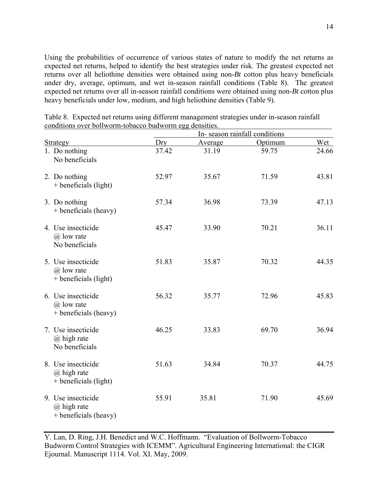Using the probabilities of occurrence of various states of nature to modify the net returns as expected net returns, helped to identify the best strategies under risk. The greatest expected net returns over all heliothine densities were obtained using non-*Bt* cotton plus heavy beneficials under dry, average, optimum, and wet in-season rainfall conditions (Table 8). The greatest expected net returns over all in-season rainfall conditions were obtained using non-*Bt* cotton plus heavy beneficials under low, medium, and high heliothine densities (Table 9).

|                                                                |       | In-season rainfall conditions |         |       |  |
|----------------------------------------------------------------|-------|-------------------------------|---------|-------|--|
| Strategy                                                       | Dry   | Average                       | Optimum | Wet   |  |
| 1. Do nothing<br>No beneficials                                | 37.42 | 31.19                         | 59.75   | 24.66 |  |
| 2. Do nothing<br>+ beneficials (light)                         | 52.97 | 35.67                         | 71.59   | 43.81 |  |
| 3. Do nothing<br>+ beneficials (heavy)                         | 57.34 | 36.98                         | 73.39   | 47.13 |  |
| 4. Use insecticide<br>$(a)$ low rate<br>No beneficials         | 45.47 | 33.90                         | 70.21   | 36.11 |  |
| 5. Use insecticide<br>$(a)$ low rate<br>+ beneficials (light)  | 51.83 | 35.87                         | 70.32   | 44.35 |  |
| 6. Use insecticide<br>$(a)$ low rate<br>+ beneficials (heavy)  | 56.32 | 35.77                         | 72.96   | 45.83 |  |
| 7. Use insecticide<br>@ high rate<br>No beneficials            | 46.25 | 33.83                         | 69.70   | 36.94 |  |
| 8. Use insecticide<br>$(a)$ high rate<br>+ beneficials (light) | 51.63 | 34.84                         | 70.37   | 44.75 |  |
| 9. Use insecticide<br>$(a)$ high rate<br>+ beneficials (heavy) | 55.91 | 35.81                         | 71.90   | 45.69 |  |

Table 8. Expected net returns using different management strategies under in-season rainfall conditions over bollworm-tobacco budworm egg densities.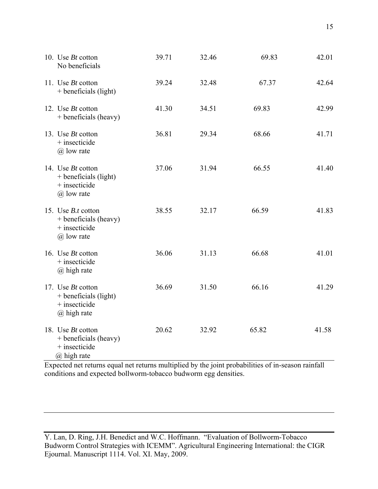| 10. Use <i>Bt</i> cotton<br>No beneficials                                          | 39.71 | 32.46 | 69.83 | 42.01 |
|-------------------------------------------------------------------------------------|-------|-------|-------|-------|
| 11. Use <i>Bt</i> cotton<br>+ beneficials (light)                                   | 39.24 | 32.48 | 67.37 | 42.64 |
| 12. Use <i>Bt</i> cotton<br>+ beneficials (heavy)                                   | 41.30 | 34.51 | 69.83 | 42.99 |
| 13. Use <i>Bt</i> cotton<br>+ insecticide<br>$(a)$ low rate                         | 36.81 | 29.34 | 68.66 | 41.71 |
| 14. Use Bt cotton<br>+ beneficials (light)<br>+ insecticide<br>@ low rate           | 37.06 | 31.94 | 66.55 | 41.40 |
| 15. Use <i>B.t</i> cotton<br>+ beneficials (heavy)<br>+ insecticide<br>@ low rate   | 38.55 | 32.17 | 66.59 | 41.83 |
| 16. Use <i>Bt</i> cotton<br>+ insecticide<br>$(a)$ high rate                        | 36.06 | 31.13 | 66.68 | 41.01 |
| 17. Use <i>Bt</i> cotton<br>+ beneficials (light)<br>$+$ insecticide<br>@ high rate | 36.69 | 31.50 | 66.16 | 41.29 |
| 18. Use <i>Bt</i> cotton<br>+ beneficials (heavy)<br>+ insecticide<br>@ high rate   | 20.62 | 32.92 | 65.82 | 41.58 |

Expected net returns equal net returns multiplied by the joint probabilities of in-season rainfall conditions and expected bollworm-tobacco budworm egg densities.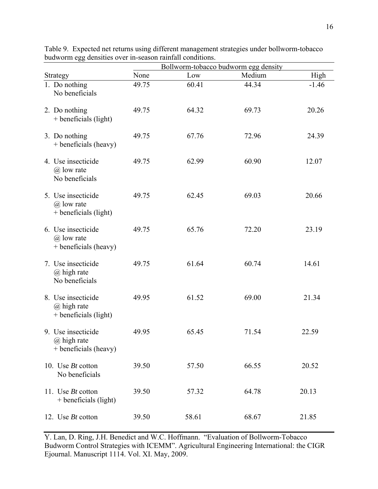|                                                               | Bollworm-tobacco budworm egg density |       |        |         |
|---------------------------------------------------------------|--------------------------------------|-------|--------|---------|
| Strategy                                                      | None                                 | Low   | Medium | High    |
| 1. Do nothing<br>No beneficials                               | 49.75                                | 60.41 | 44.34  | $-1.46$ |
| 2. Do nothing<br>+ beneficials (light)                        | 49.75                                | 64.32 | 69.73  | 20.26   |
| 3. Do nothing<br>+ beneficials (heavy)                        | 49.75                                | 67.76 | 72.96  | 24.39   |
| 4. Use insecticide<br>$(a)$ low rate<br>No beneficials        | 49.75                                | 62.99 | 60.90  | 12.07   |
| 5. Use insecticide<br>$(a)$ low rate<br>+ beneficials (light) | 49.75                                | 62.45 | 69.03  | 20.66   |
| 6. Use insecticide<br>$(a)$ low rate<br>+ beneficials (heavy) | 49.75                                | 65.76 | 72.20  | 23.19   |
| 7. Use insecticide<br>@ high rate<br>No beneficials           | 49.75                                | 61.64 | 60.74  | 14.61   |
| 8. Use insecticide<br>@ high rate<br>+ beneficials (light)    | 49.95                                | 61.52 | 69.00  | 21.34   |
| 9. Use insecticide<br>@ high rate<br>+ beneficials (heavy)    | 49.95                                | 65.45 | 71.54  | 22.59   |
| 10. Use <i>Bt</i> cotton<br>No beneficials                    | 39.50                                | 57.50 | 66.55  | 20.52   |
| 11. Use <i>Bt</i> cotton<br>+ beneficials (light)             | 39.50                                | 57.32 | 64.78  | 20.13   |
| 12. Use <i>Bt</i> cotton                                      | 39.50                                | 58.61 | 68.67  | 21.85   |

Table 9. Expected net returns using different management strategies under bollworm-tobacco budworm egg densities over in-season rainfall conditions.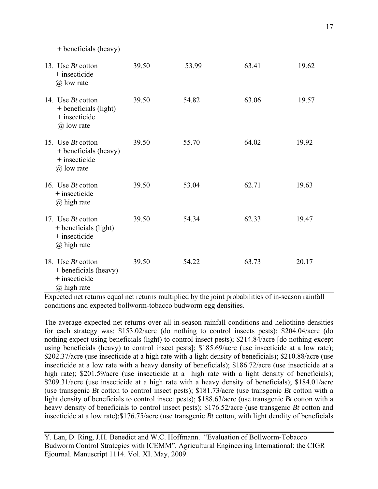+ beneficials (heavy)

| 13. Use <i>Bt</i> cotton<br>+ insecticide<br>@ low rate                               | 39.50 | 53.99 | 63.41 | 19.62 |
|---------------------------------------------------------------------------------------|-------|-------|-------|-------|
| 14. Use <i>Bt</i> cotton<br>+ beneficials (light)<br>$+$ insecticide<br>@ low rate    | 39.50 | 54.82 | 63.06 | 19.57 |
| 15. Use <i>Bt</i> cotton<br>+ beneficials (heavy)<br>$+$ insecticide<br>@ low rate    | 39.50 | 55.70 | 64.02 | 19.92 |
| 16. Use <i>Bt</i> cotton<br>$+$ insecticide<br>@ high rate                            | 39.50 | 53.04 | 62.71 | 19.63 |
| 17. Use <i>Bt</i> cotton<br>+ beneficials (light)<br>+ insecticide<br>@ high rate     | 39.50 | 54.34 | 62.33 | 19.47 |
| 18. Use <i>Bt</i> cotton<br>+ beneficials (heavy)<br>+ insecticide<br>$(a)$ high rate | 39.50 | 54.22 | 63.73 | 20.17 |

Expected net returns equal net returns multiplied by the joint probabilities of in-season rainfall conditions and expected bollworm-tobacco budworm egg densities.

The average expected net returns over all in-season rainfall conditions and heliothine densities for each strategy was: \$153.02/acre (do nothing to control insects pests); \$204.04/acre (do nothing expect using beneficials (light) to control insect pests); \$214.84/acre [do nothing except using beneficials (heavy) to control insect pests]; \$185.69/acre (use insecticide at a low rate); \$202.37/acre (use insecticide at a high rate with a light density of beneficials); \$210.88/acre (use insecticide at a low rate with a heavy density of beneficials); \$186.72/acre (use insecticide at a high rate); \$201.59/acre (use insecticide at a high rate with a light density of beneficials); \$209.31/acre (use insecticide at a high rate with a heavy density of beneficials); \$184.01/acre (use transgenic *Bt* cotton to control insect pests); \$181.73/acre (use transgenic *Bt* cotton with a light density of beneficials to control insect pests); \$188.63/acre (use transgenic *Bt* cotton with a heavy density of beneficials to control insect pests); \$176.52/acre (use transgenic *Bt* cotton and insecticide at a low rate);\$176.75/acre (use transgenic *Bt* cotton, with light dendity of beneficials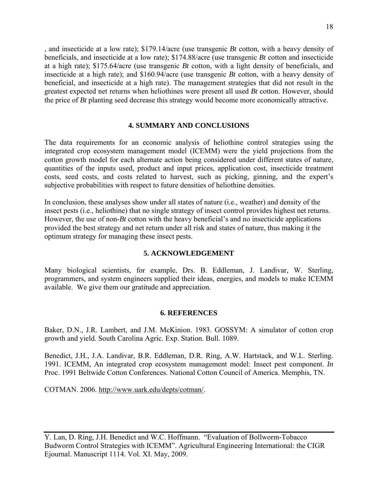, and insecticide at a low rate); \$179.14/acre (use transgenic *Bt* cotton, with a heavy density of beneficials, and insecticide at a low rate); \$174.88/acre (use transgenic *Bt* cotton and insecticide at a high rate); \$175.64/acre (use transgenic *Bt* cotton, with a light density of beneficials, and insecticide at a high rate); and \$160.94/acre (use transgenic *Bt* cotton, with a heavy density of beneficial, and insecticide at a high rate). The management strategies that did not result in the greatest expected net returns when heliothines were present all used *Bt* cotton. However, should the price of *Bt* planting seed decrease this strategy would become more economically attractive.

## **4. SUMMARY AND CONCLUSIONS**

The data requirements for an economic analysis of heliothine control strategies using the integrated crop ecosystem management model (ICEMM) were the yield projections from the cotton growth model for each alternate action being considered under different states of nature, quantities of the inputs used, product and input prices, application cost, insecticide treatment costs, seed costs, and costs related to harvest, such as picking, ginning, and the expert's subjective probabilities with respect to future densities of heliothine densities.

In conclusion, these analyses show under all states of nature (i.e., weather) and density of the insect pests (i.e., heliothine) that no single strategy of insect control provides highest net returns. However, the use of non-*Bt* cotton with the heavy beneficial's and no insecticide applications provided the best strategy and net return under all risk and states of nature, thus making it the optimum strategy for managing these insect pests.

## **5. ACKNOWLEDGEMENT**

Many biological scientists, for example, Drs. B. Eddleman, J. Landivar, W. Sterling, programmers, and system engineers supplied their ideas, energies, and models to make ICEMM available. We give them our gratitude and appreciation.

## **6. REFERENCES**

Baker, D.N., J.R. Lambert, and J.M. McKinion. 1983. GOSSYM: A simulator of cotton crop growth and yield. South Carolina Agric. Exp. Station. Bull. 1089.

Benedict, J.H., J.A. Landivar, B.R. Eddleman, D.R. Ring, A.W. Hartstack, and W.L. Sterling. 1991. ICEMM, An integrated crop ecosystem management model: Insect pest component. *In*  Proc. 1991 Beltwide Cotton Conferences. National Cotton Council of America. Memphis, TN.

COTMAN. 2006. http://www.uark.edu/depts/cotman/.